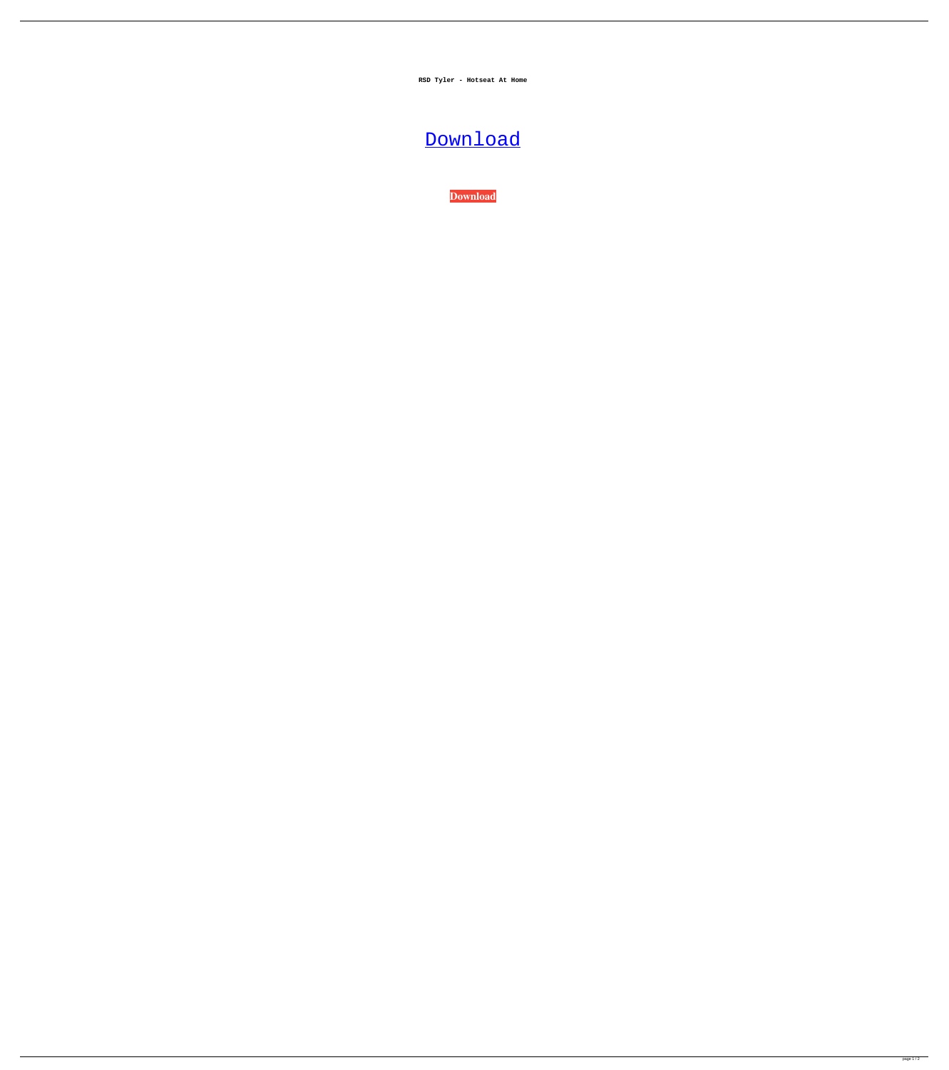**RSD Tyler - Hotseat At Home**

## **[Download](http://evacdir.com/bearings/dove&asteya/cathedrals/dendritic/forts&UlNEIFR5bGVyIC0gSG90c2VhdCBhdCBIb21lUlN.ZG93bmxvYWR8RGk2ZDJkOGZERTJOVEkzTkRBNE5qWjhmREkxTnpSOGZDaE5LU0J5WldGa0xXSnNiMmNnVzBaaGMzUWdSMFZPWFE)**

**[Download](http://evacdir.com/bearings/dove&asteya/cathedrals/dendritic/forts&UlNEIFR5bGVyIC0gSG90c2VhdCBhdCBIb21lUlN.ZG93bmxvYWR8RGk2ZDJkOGZERTJOVEkzTkRBNE5qWjhmREkxTnpSOGZDaE5LU0J5WldGa0xXSnNiMmNnVzBaaGMzUWdSMFZPWFE)**